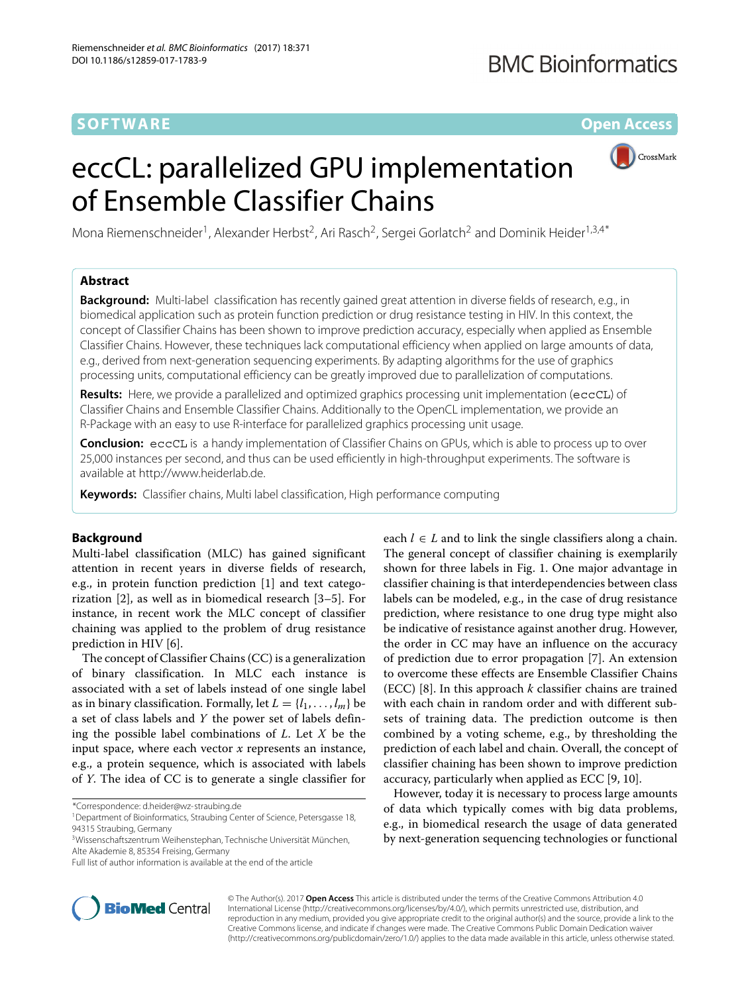## **SOFTWARE** *Open Access*

# eccCL: parallelized GPU implementation of Ensemble Classifier Chains



Mona Riemenschneider<sup>1</sup>, Alexander Herbst<sup>2</sup>, Ari Rasch<sup>2</sup>, Sergei Gorlatch<sup>2</sup> and Dominik Heider<sup>1,3,4\*</sup>

## **Abstract**

**Background:** Multi-label classification has recently gained great attention in diverse fields of research, e.g., in biomedical application such as protein function prediction or drug resistance testing in HIV. In this context, the concept of Classifier Chains has been shown to improve prediction accuracy, especially when applied as Ensemble Classifier Chains. However, these techniques lack computational efficiency when applied on large amounts of data, e.g., derived from next-generation sequencing experiments. By adapting algorithms for the use of graphics processing units, computational efficiency can be greatly improved due to parallelization of computations.

**Results:** Here, we provide a parallelized and optimized graphics processing unit implementation (eccCL) of Classifier Chains and Ensemble Classifier Chains. Additionally to the OpenCL implementation, we provide an R-Package with an easy to use R-interface for parallelized graphics processing unit usage.

**Conclusion:** eccCL is a handy implementation of Classifier Chains on GPUs, which is able to process up to over 25,000 instances per second, and thus can be used efficiently in high-throughput experiments. The software is available at [http://www.heiderlab.de.](http://www.heiderlab.de)

**Keywords:** Classifier chains, Multi label classification, High performance computing

## **Background**

Multi-label classification (MLC) has gained significant attention in recent years in diverse fields of research, e.g., in protein function prediction [\[1\]](#page-3-0) and text categorization [\[2\]](#page-3-1), as well as in biomedical research [\[3–](#page-3-2)[5\]](#page-3-3). For instance, in recent work the MLC concept of classifier chaining was applied to the problem of drug resistance prediction in HIV [\[6\]](#page-3-4).

The concept of Classifier Chains (CC) is a generalization of binary classification. In MLC each instance is associated with a set of labels instead of one single label as in binary classification. Formally, let  $L = \{l_1, \ldots, l_m\}$  be a set of class labels and *Y* the power set of labels defining the possible label combinations of *L*. Let *X* be the input space, where each vector *x* represents an instance, e.g., a protein sequence, which is associated with labels of *Y*. The idea of CC is to generate a single classifier for

\*Correspondence: [d.heider@wz-straubing.de](mailto: d.heider@wz-straubing.de)

<sup>1</sup> Department of Bioinformatics, Straubing Center of Science, Petersgasse 18, 94315 Straubing, Germany



However, today it is necessary to process large amounts of data which typically comes with big data problems, e.g., in biomedical research the usage of data generated by next-generation sequencing technologies or functional



© The Author(s). 2017 **Open Access** This article is distributed under the terms of the Creative Commons Attribution 4.0 International License [\(http://creativecommons.org/licenses/by/4.0/\)](http://creativecommons.org/licenses/by/4.0/), which permits unrestricted use, distribution, and reproduction in any medium, provided you give appropriate credit to the original author(s) and the source, provide a link to the Creative Commons license, and indicate if changes were made. The Creative Commons Public Domain Dedication waiver [\(http://creativecommons.org/publicdomain/zero/1.0/\)](http://creativecommons.org/publicdomain/zero/1.0/) applies to the data made available in this article, unless otherwise stated.

<sup>3</sup>Wissenschaftszentrum Weihenstephan, Technische Universität München, Alte Akademie 8, 85354 Freising, Germany

Full list of author information is available at the end of the article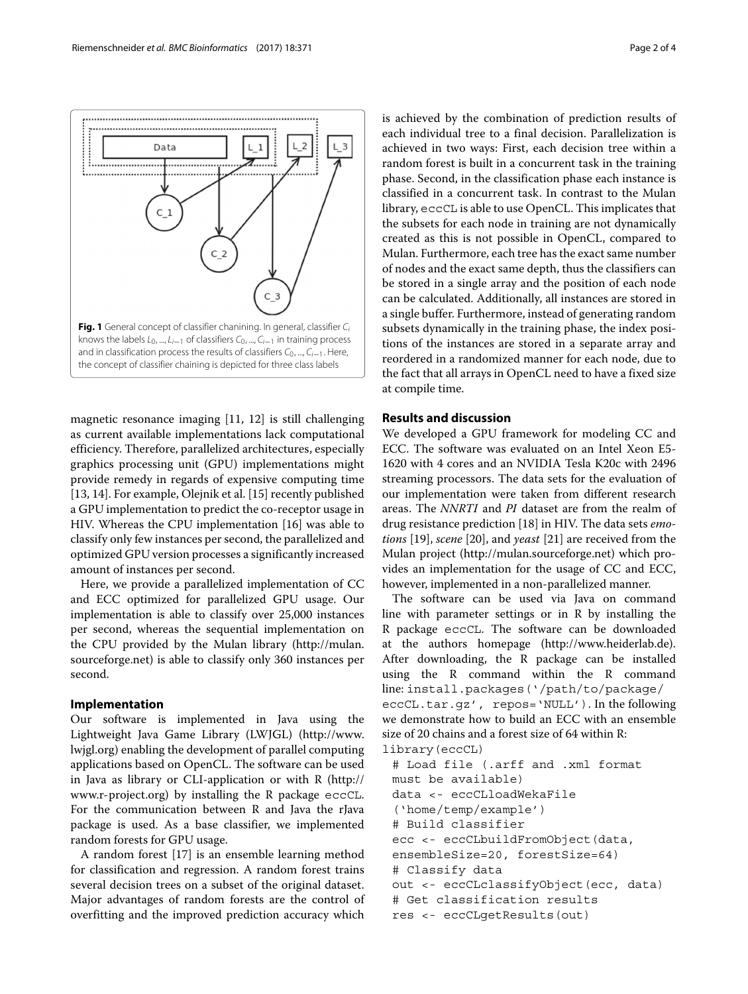

<span id="page-1-0"></span>magnetic resonance imaging [\[11,](#page-3-9) [12\]](#page-3-10) is still challenging as current available implementations lack computational efficiency. Therefore, parallelized architectures, especially graphics processing unit (GPU) implementations might provide remedy in regards of expensive computing time [\[13,](#page-3-11) [14\]](#page-3-12). For example, Olejnik et al. [\[15\]](#page-3-13) recently published a GPU implementation to predict the co-receptor usage in HIV. Whereas the CPU implementation [\[16\]](#page-3-14) was able to classify only few instances per second, the parallelized and optimized GPU version processes a significantly increased amount of instances per second.

Here, we provide a parallelized implementation of CC and ECC optimized for parallelized GPU usage. Our implementation is able to classify over 25,000 instances per second, whereas the sequential implementation on the CPU provided by the Mulan library [\(http://mulan.](http://mulan.sourceforge.net) [sourceforge.net\)](http://mulan.sourceforge.net) is able to classify only 360 instances per second.

## **Implementation**

Our software is implemented in Java using the Lightweight Java Game Library (LWJGL) [\(http://www.](http://www.lwjgl.org) [lwjgl.org\)](http://www.lwjgl.org) enabling the development of parallel computing applications based on OpenCL. The software can be used in Java as library or CLI-application or with R [\(http://](http://www.r-project.org) [www.r-project.org\)](http://www.r-project.org) by installing the R package eccCL. For the communication between R and Java the rJava package is used. As a base classifier, we implemented random forests for GPU usage.

A random forest [\[17\]](#page-3-15) is an ensemble learning method for classification and regression. A random forest trains several decision trees on a subset of the original dataset. Major advantages of random forests are the control of overfitting and the improved prediction accuracy which is achieved by the combination of prediction results of each individual tree to a final decision. Parallelization is achieved in two ways: First, each decision tree within a random forest is built in a concurrent task in the training phase. Second, in the classification phase each instance is classified in a concurrent task. In contrast to the Mulan library, eccCL is able to use OpenCL. This implicates that the subsets for each node in training are not dynamically created as this is not possible in OpenCL, compared to Mulan. Furthermore, each tree has the exact same number of nodes and the exact same depth, thus the classifiers can be stored in a single array and the position of each node can be calculated. Additionally, all instances are stored in a single buffer. Furthermore, instead of generating random subsets dynamically in the training phase, the index positions of the instances are stored in a separate array and reordered in a randomized manner for each node, due to the fact that all arrays in OpenCL need to have a fixed size at compile time.

## **Results and discussion**

We developed a GPU framework for modeling CC and ECC. The software was evaluated on an Intel Xeon E5- 1620 with 4 cores and an NVIDIA Tesla K20c with 2496 streaming processors. The data sets for the evaluation of our implementation were taken from different research areas. The *NNRTI* and *PI* dataset are from the realm of drug resistance prediction [\[18\]](#page-3-16) in HIV. The data sets *emotions* [\[19\]](#page-3-17), *scene* [\[20\]](#page-3-18), and *yeast* [\[21\]](#page-3-19) are received from the Mulan project [\(http://mulan.sourceforge.net\)](http://mulan.sourceforge.net) which provides an implementation for the usage of CC and ECC, however, implemented in a non-parallelized manner.

The software can be used via Java on command line with parameter settings or in R by installing the R package eccCL. The software can be downloaded at the authors homepage [\(http://www.heiderlab.de\)](http://www.heiderlab.de). After downloading, the R package can be installed using the R command within the R command line: install.packages('/path/to/package/ eccCL.tar.gz', repos='NULL'). In the following we demonstrate how to build an ECC with an ensemble size of 20 chains and a forest size of 64 within R: library(eccCL)

```
# Load file (.arff and .xml format
must be available)
data <- eccCLloadWekaFile
('home/temp/example')
# Build classifier
ecc <- eccCLbuildFromObject(data,
ensembleSize=20, forestSize=64)
# Classify data
out <- eccCLclassifyObject(ecc, data)
# Get classification results
res <- eccCLgetResults(out)
```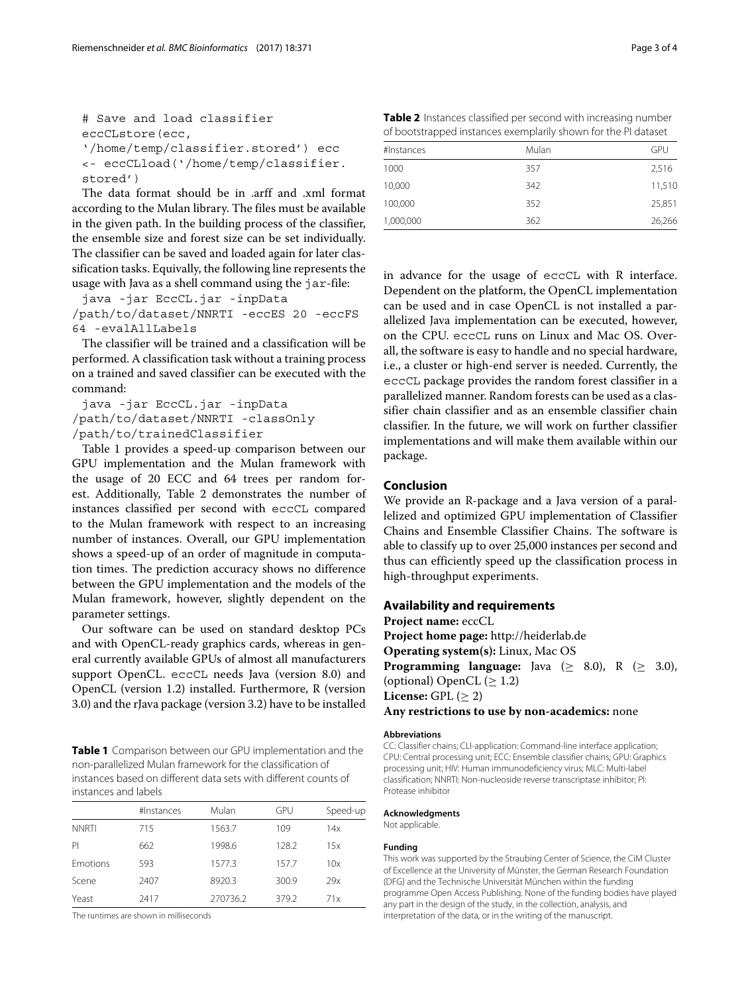```
# Save and load classifier
eccCLstore(ecc,
'/home/temp/classifier.stored') ecc
<- eccCLload('/home/temp/classifier.
stored')
```
The data format should be in .arff and .xml format according to the Mulan library. The files must be available in the given path. In the building process of the classifier, the ensemble size and forest size can be set individually. The classifier can be saved and loaded again for later classification tasks. Equivally, the following line represents the usage with Java as a shell command using the jar-file:

java -jar EccCL.jar -inpData /path/to/dataset/NNRTI -eccES 20 -eccFS 64 -evalAllLabels

The classifier will be trained and a classification will be performed. A classification task without a training process on a trained and saved classifier can be executed with the command:

java -jar EccCL.jar -inpData /path/to/dataset/NNRTI -classOnly /path/to/trainedClassifier

Table [1](#page-2-0) provides a speed-up comparison between our GPU implementation and the Mulan framework with the usage of 20 ECC and 64 trees per random forest. Additionally, Table [2](#page-2-1) demonstrates the number of instances classified per second with eccCL compared to the Mulan framework with respect to an increasing number of instances. Overall, our GPU implementation shows a speed-up of an order of magnitude in computation times. The prediction accuracy shows no difference between the GPU implementation and the models of the Mulan framework, however, slightly dependent on the parameter settings.

Our software can be used on standard desktop PCs and with OpenCL-ready graphics cards, whereas in general currently available GPUs of almost all manufacturers support OpenCL. eccCL needs Java (version 8.0) and OpenCL (version 1.2) installed. Furthermore, R (version 3.0) and the rJava package (version 3.2) have to be installed

<span id="page-2-0"></span>**Table 1** Comparison between our GPU implementation and the non-parallelized Mulan framework for the classification of instances based on different data sets with different counts of instances and labels

|                 | #Instances | Mulan    | GPU   | Speed-up |
|-----------------|------------|----------|-------|----------|
| <b>NNRTI</b>    | 715        | 1563.7   | 109   | 14x      |
| PI              | 662        | 1998.6   | 128.2 | 15x      |
| <b>Emotions</b> | 593        | 1577.3   | 157.7 | 10x      |
| Scene           | 2407       | 8920.3   | 300.9 | 29x      |
| Yeast           | 2417       | 270736.2 | 379.2 | 71x      |

The runtimes are shown in milliseconds

<span id="page-2-1"></span>**Table 2** Instances classified per second with increasing number of bootstrapped instances exemplarily shown for the PI dataset

| #Instances | Mulan | GPU    |
|------------|-------|--------|
| 1000       | 357   | 2,516  |
| 10,000     | 342   | 11,510 |
| 100,000    | 352   | 25,851 |
| 1,000,000  | 362   | 26,266 |

in advance for the usage of eccCL with R interface. Dependent on the platform, the OpenCL implementation can be used and in case OpenCL is not installed a parallelized Java implementation can be executed, however, on the CPU. eccCL runs on Linux and Mac OS. Overall, the software is easy to handle and no special hardware, i.e., a cluster or high-end server is needed. Currently, the eccCL package provides the random forest classifier in a parallelized manner. Random forests can be used as a classifier chain classifier and as an ensemble classifier chain classifier. In the future, we will work on further classifier implementations and will make them available within our package.

## **Conclusion**

We provide an R-package and a Java version of a parallelized and optimized GPU implementation of Classifier Chains and Ensemble Classifier Chains. The software is able to classify up to over 25,000 instances per second and thus can efficiently speed up the classification process in high-throughput experiments.

### **Availability and requirements**

**Project name:** eccCL **Project home page:** <http://heiderlab.de> **Operating system(s):** Linux, Mac OS **Programming language:** Java  $(\geq 8.0)$ , R  $(\geq 3.0)$ , (optional) OpenCL  $(\geq 1.2)$ **License:** GPL  $(\geq 2)$ **Any restrictions to use by non-academics:** none

#### **Abbreviations**

CC: Classifier chains; CLI-application: Command-line interface application; CPU: Central processing unit; ECC: Ensemble classifier chains; GPU: Graphics processing unit; HIV: Human immunodeficiency virus; MLC: Multi-label classification; NNRTI: Non-nucleoside reverse transcriptase inhibitor; PI: Protease inhibitor

#### **Acknowledgments**

Not applicable.

#### **Funding**

This work was supported by the Straubing Center of Science, the CiM Cluster of Excellence at the University of Münster, the German Research Foundation (DFG) and the Technische Universität München within the funding programme Open Access Publishing. None of the funding bodies have played any part in the design of the study, in the collection, analysis, and interpretation of the data, or in the writing of the manuscript.